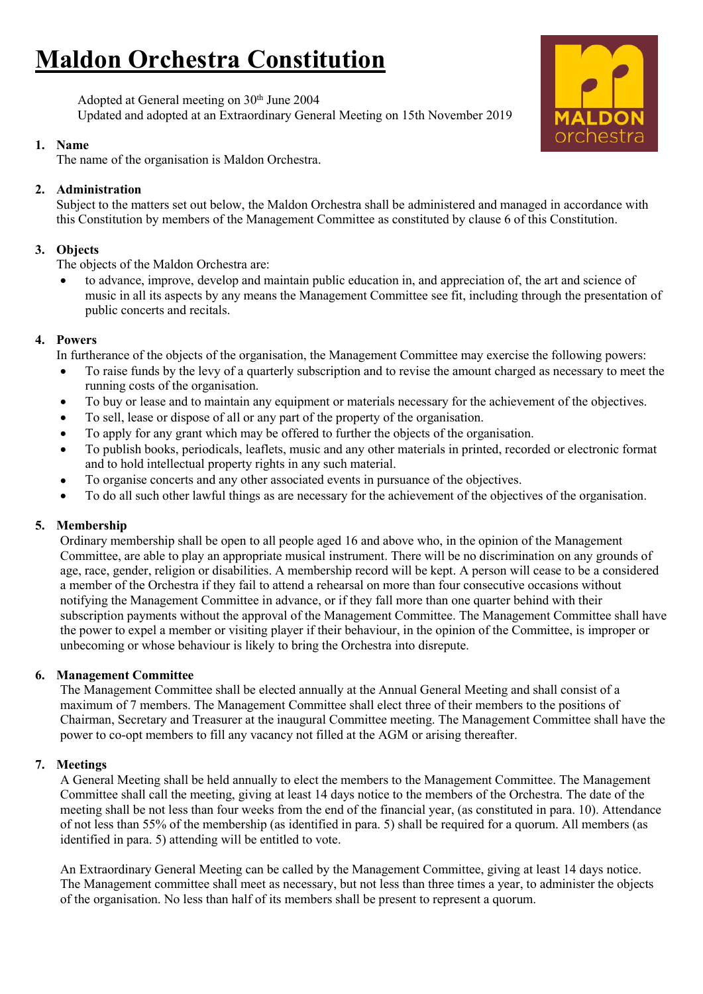# **Maldon Orchestra Constitution**

Adopted at General meeting on 30<sup>th</sup> June 2004 Updated and adopted at an Extraordinary General Meeting on 15th November 2019

# **1. Name**

The name of the organisation is Maldon Orchestra.

# **2. Administration**

Subject to the matters set out below, the Maldon Orchestra shall be administered and managed in accordance with this Constitution by members ofthe Management Committee as constituted by clause 6 of this Constitution.

# **3. Objects**

The objects of the Maldon Orchestra are:

 to advance, improve, develop and maintain public education in, and appreciation of, the art and science of music in all its aspects by any means the Management Committee see fit, including through the presentation of public concerts and recitals.

# **4. Powers**

In furtherance of the objects of the organisation, the Management Committee may exercise the following powers:

- To raise funds by the levy of a quarterly subscription and to revise the amount charged as necessary to meet the running costs of the organisation.
- To buy or lease and to maintain any equipment or materials necessary for the achievement of the objectives.
- To sell, lease or dispose of all or any part of the property of the organisation.
- To apply for any grant which may be offered to further the objects ofthe organisation.
- To publish books, periodicals, leaflets, music and any other materials in printed, recorded or electronic format and to hold intellectual property rights in any such material.
- To organise concerts and any other associated events in pursuance of the objectives.
- To do all such other lawful things as are necessary for the achievement of the objectives of the organisation.

# **5. Membership**

Ordinary membership shall be open to all people aged 16 and above who, in the opinion of the Management Committee, are able to play an appropriate musical instrument. There will be no discrimination on any grounds of age, race, gender, religion or disabilities. A membership record will be kept. A person will cease to be a considered a member of the Orchestra if they fail to attend a rehearsal on more than four consecutive occasions without notifying the Management Committee in advance, or if they fall more than one quarter behind with their subscription payments without the approval of the Management Committee. The Management Committee shall have the power to expel a member or visiting player if their behaviour, in the opinion of the Committee, is improper or unbecoming or whose behaviour is likely to bring the Orchestra into disrepute.

## **6. Management Committee**

The Management Committee shall be elected annually at the Annual General Meeting and shall consist of a maximum of 7 members. The Management Committee shall elect three of their members to the positions of Chairman, Secretary and Treasurer at the inaugural Committee meeting.The Management Committee shall have the power to co-opt members to fill any vacancy not filled at the AGM or arising thereafter.

# **7. Meetings**

A General Meeting shall be held annually to elect the members to the Management Committee. The Management Committee shall call the meeting, giving at least 14 days notice to the members of the Orchestra. The date of the meeting shall be not less than four weeks from the end of the financial year, (as constituted in para. 10). Attendance of not less than 55% of the membership (as identified in para. 5) shall be required for a quorum. All members (as identified in para. 5) attending will be entitled to vote.

An Extraordinary General Meeting can be called by the Management Committee, giving at least 14 days notice. The Management committee shall meet as necessary, but not less than three times a year, to administer the objects of the organisation. No less than half of its members shall be present to represent a quorum.